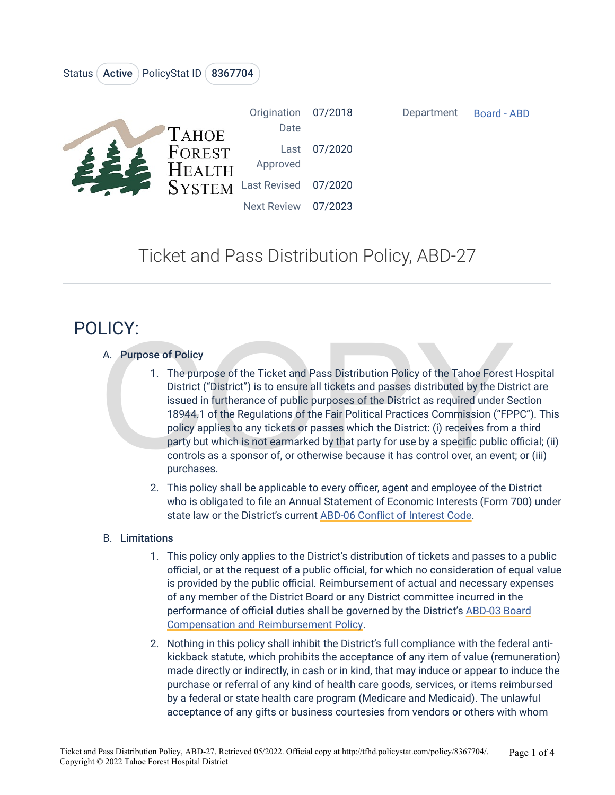| <b>TAHOE</b><br>FOREST<br><b>HEALTH</b><br>SYSTEM Last Revised 07/2020 | Origination 07/2018<br>Date |         | Department | Board - ABD |
|------------------------------------------------------------------------|-----------------------------|---------|------------|-------------|
|                                                                        | Last<br>Approved            | 07/2020 |            |             |
|                                                                        |                             |         |            |             |
|                                                                        | <b>Next Review</b>          | 07/2023 |            |             |

## Ticket and Pass Distribution Policy, ABD-27

# POLICY:

### A. Purpose of Policy

Status (Active ) PolicyStat ID (8367704)

- A. Purpose of Policy<br>
1. The purpose of the Ticket and Pass Distribution Policy of the Tahoe Forest<br>
1. The purpose of the Ticket and Pass Distribution Policy of the Tahoe Forest<br>
1. District ("District") is to ensure all 1. The purpose of the Ticket and Pass Distribution Policy of the Tahoe Forest Hospital District ("District") is to ensure all tickets and passes distributed by the District are issued in furtherance of public purposes of the District as required under Section 18944.1 of the Regulations of the Fair Political Practices Commission ("FPPC"). This policy applies to any tickets or passes which the District: (i) receives from a third party but which is not earmarked by that party for use by a specific public official; (ii) controls as a sponsor of, or otherwise because it has control over, an event; or (iii) purchases.
	- 2. This policy shall be applicable to every officer, agent and employee of the District who is obligated to file an Annual Statement of Economic Interests (Form 700) under state law or the District's current [ABD-06 Conflict of Interest Code.](https://tfhd.policystat.com/policy/3353097/latest/)

#### B. Limitations

- 1. This policy only applies to the District's distribution of tickets and passes to a public official, or at the request of a public official, for which no consideration of equal value is provided by the public official. Reimbursement of actual and necessary expenses of any member of the District Board or any District committee incurred in the performance of official duties shall be governed by the District's [ABD-03 Board](https://tfhd.policystat.com/policy/4197757/latest/) [Compensation and Reimbursement Policy.](https://tfhd.policystat.com/policy/4197757/latest/)
- 2. Nothing in this policy shall inhibit the District's full compliance with the federal antikickback statute, which prohibits the acceptance of any item of value (remuneration) made directly or indirectly, in cash or in kind, that may induce or appear to induce the purchase or referral of any kind of health care goods, services, or items reimbursed by a federal or state health care program (Medicare and Medicaid). The unlawful acceptance of any gifts or business courtesies from vendors or others with whom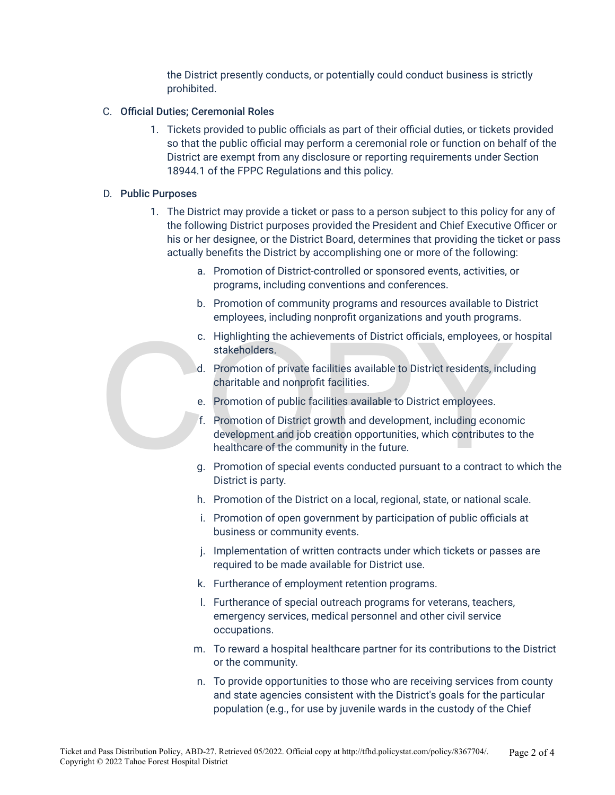the District presently conducts, or potentially could conduct business is strictly prohibited.

#### C. Official Duties; Ceremonial Roles

1. Tickets provided to public officials as part of their official duties, or tickets provided so that the public official may perform a ceremonial role or function on behalf of the District are exempt from any disclosure or reporting requirements under Section 18944.1 of the FPPC Regulations and this policy.

#### D. Public Purposes

- 1. The District may provide a ticket or pass to a person subject to this policy for any of the following District purposes provided the President and Chief Executive Officer or his or her designee, or the District Board, determines that providing the ticket or pass actually benefits the District by accomplishing one or more of the following:
	- a. Promotion of District-controlled or sponsored events, activities, or programs, including conventions and conferences.
	- b. Promotion of community programs and resources available to District employees, including nonprofit organizations and youth programs.
	- c. Highlighting the achievements of District officials, employees, or hospital stakeholders.
	- d. Promotion of private facilities available to District residents, including charitable and nonprofit facilities.
	- e. Promotion of public facilities available to District employees.
- C. Highlighting the achievements of District officials, employees, or<br>stakeholders.<br>d. Promotion of private facilities available to District residents, inclu<br>charitable and nonprofit facilities.<br>e. Promotion of public faci f. Promotion of District growth and development, including economic development and job creation opportunities, which contributes to the healthcare of the community in the future.
	- g. Promotion of special events conducted pursuant to a contract to which the District is party.
	- h. Promotion of the District on a local, regional, state, or national scale.
	- i. Promotion of open government by participation of public officials at business or community events.
	- j. Implementation of written contracts under which tickets or passes are required to be made available for District use.
	- k. Furtherance of employment retention programs.
	- l. Furtherance of special outreach programs for veterans, teachers, emergency services, medical personnel and other civil service occupations.
	- m. To reward a hospital healthcare partner for its contributions to the District or the community.
	- n. To provide opportunities to those who are receiving services from county and state agencies consistent with the District's goals for the particular population (e.g., for use by juvenile wards in the custody of the Chief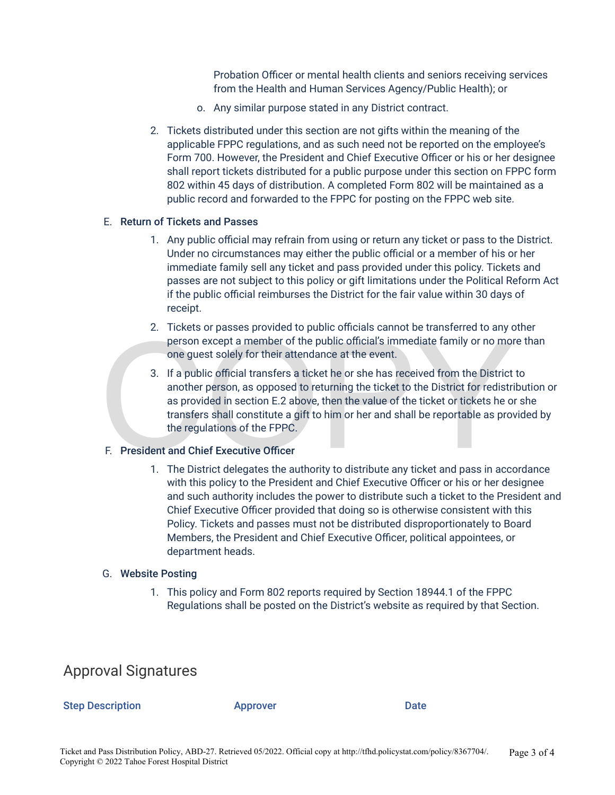Probation Officer or mental health clients and seniors receiving services from the Health and Human Services Agency/Public Health); or

- o. Any similar purpose stated in any District contract.
- 2. Tickets distributed under this section are not gifts within the meaning of the applicable FPPC regulations, and as such need not be reported on the employee's Form 700. However, the President and Chief Executive Officer or his or her designee shall report tickets distributed for a public purpose under this section on FPPC form 802 within 45 days of distribution. A completed Form 802 will be maintained as a public record and forwarded to the FPPC for posting on the FPPC web site.

#### E. Return of Tickets and Passes

- 1. Any public official may refrain from using or return any ticket or pass to the District. Under no circumstances may either the public official or a member of his or her immediate family sell any ticket and pass provided under this policy. Tickets and passes are not subject to this policy or gift limitations under the Political Reform Act if the public official reimburses the District for the fair value within 30 days of receipt.
- 2. Tickets or passes provided to public officials cannot be transferred to any other person except a member of the public official's immediate family or no more than one guest solely for their attendance at the event.
- E. The cost of public product to public official's immediate family or no more one guest solely for their attendance at the event.<br>
3. If a public official transfers a ticket he or she has received from the District anothe 3. If a public official transfers a ticket he or she has received from the District to another person, as opposed to returning the ticket to the District for redistribution or as provided in section E.2 above, then the value of the ticket or tickets he or she transfers shall constitute a gift to him or her and shall be reportable as provided by the regulations of the FPPC.

#### F. President and Chief Executive Officer

1. The District delegates the authority to distribute any ticket and pass in accordance with this policy to the President and Chief Executive Officer or his or her designee and such authority includes the power to distribute such a ticket to the President and Chief Executive Officer provided that doing so is otherwise consistent with this Policy. Tickets and passes must not be distributed disproportionately to Board Members, the President and Chief Executive Officer, political appointees, or department heads.

#### G. Website Posting

1. This policy and Form 802 reports required by Section 18944.1 of the FPPC Regulations shall be posted on the District's website as required by that Section.

### Approval Signatures

#### Step Description **Approver** Approver Date